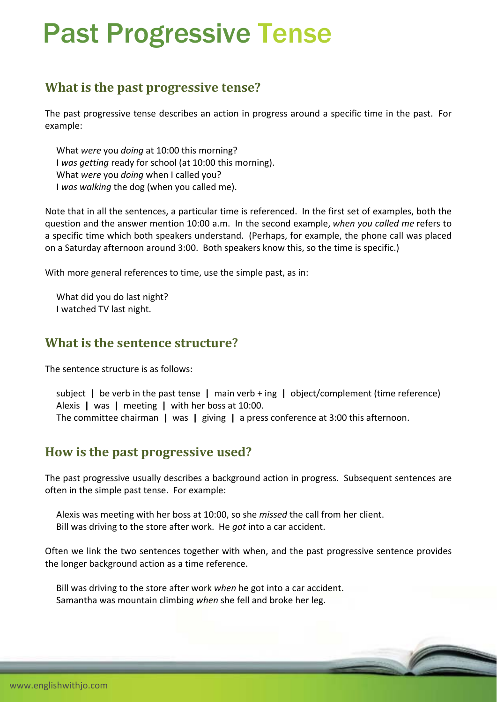# Past Progressive Tense

## **What is the past progressive tense?**

The past progressive tense describes an action in progress around a specific time in the past. For example:

 What *were* you *doing* at 10:00 this morning? I *was getting* ready for school (at 10:00 this morning). What *were* you *doing* when I called you? I *was walking* the dog (when you called me).

Note that in all the sentences, a particular time is referenced. In the first set of examples, both the question and the answer mention 10:00 a.m. In the second example, *when you called me* refers to a specific time which both speakers understand. (Perhaps, for example, the phone call was placed on a Saturday afternoon around 3:00. Both speakers know this, so the time is specific.)

With more general references to time, use the simple past, as in:

 What did you do last night? I watched TV last night.

#### **What is the sentence structure?**

The sentence structure is as follows:

 subject **|** be verb in the past tense **|** main verb + ing **|** object/complement (time reference) Alexis **|** was **|** meeting **|** with her boss at 10:00. The committee chairman **|** was **|** giving **|** a press conference at 3:00 this afternoon.

### **How is the past progressive used?**

The past progressive usually describes a background action in progress. Subsequent sentences are often in the simple past tense. For example:

 Alexis was meeting with her boss at 10:00, so she *missed* the call from her client. Bill was driving to the store after work. He *got* into a car accident.

Often we link the two sentences together with when, and the past progressive sentence provides the longer background action as a time reference.

 Bill was driving to the store after work *when* he got into a car accident. Samantha was mountain climbing *when* she fell and broke her leg.